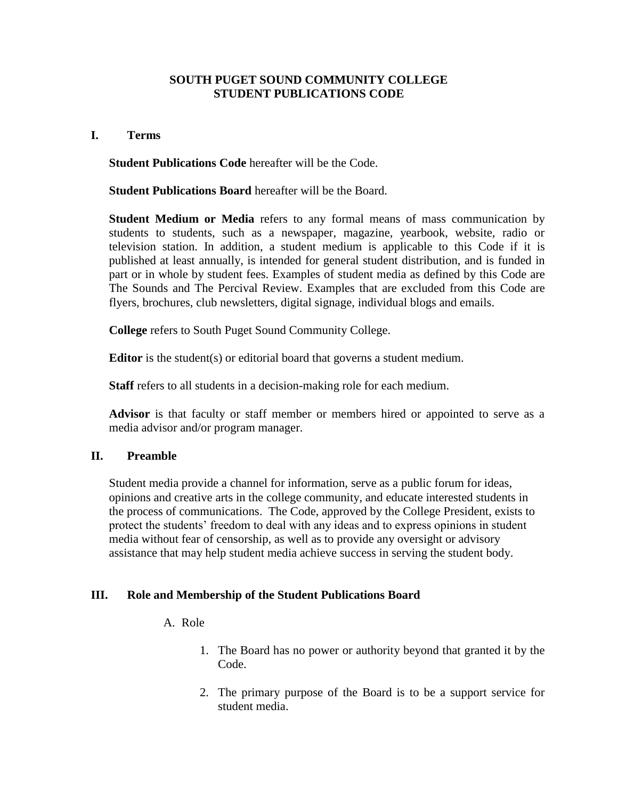## **SOUTH PUGET SOUND COMMUNITY COLLEGE STUDENT PUBLICATIONS CODE**

## **I. Terms**

**Student Publications Code** hereafter will be the Code.

**Student Publications Board** hereafter will be the Board.

**Student Medium or Media** refers to any formal means of mass communication by students to students, such as a newspaper, magazine, yearbook, website, radio or television station. In addition, a student medium is applicable to this Code if it is published at least annually, is intended for general student distribution, and is funded in part or in whole by student fees. Examples of student media as defined by this Code are The Sounds and The Percival Review. Examples that are excluded from this Code are flyers, brochures, club newsletters, digital signage, individual blogs and emails.

**College** refers to South Puget Sound Community College.

**Editor** is the student(s) or editorial board that governs a student medium.

**Staff** refers to all students in a decision-making role for each medium.

**Advisor** is that faculty or staff member or members hired or appointed to serve as a media advisor and/or program manager.

# **II. Preamble**

Student media provide a channel for information, serve as a public forum for ideas, opinions and creative arts in the college community, and educate interested students in the process of communications. The Code, approved by the College President, exists to protect the students' freedom to deal with any ideas and to express opinions in student media without fear of censorship, as well as to provide any oversight or advisory assistance that may help student media achieve success in serving the student body.

# **III. Role and Membership of the Student Publications Board**

## A. Role

- 1. The Board has no power or authority beyond that granted it by the Code.
- 2. The primary purpose of the Board is to be a support service for student media.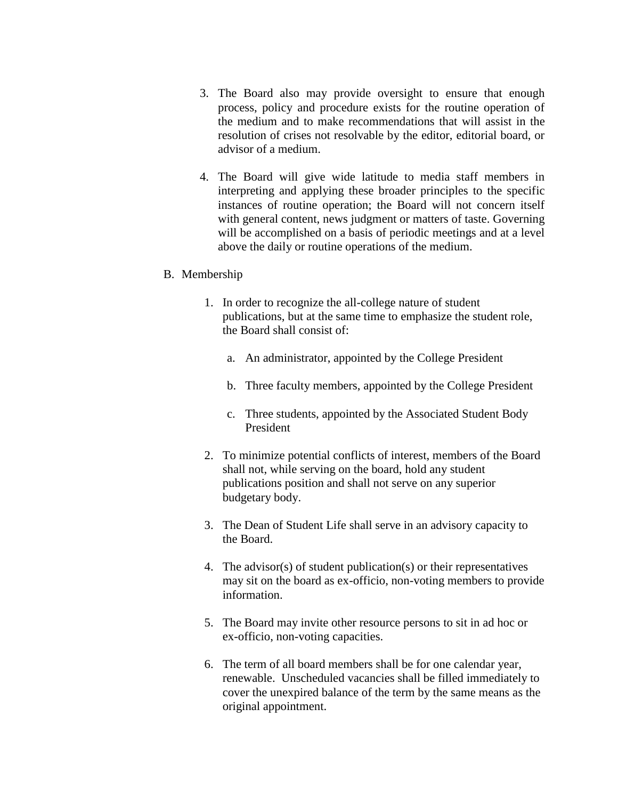- 3. The Board also may provide oversight to ensure that enough process, policy and procedure exists for the routine operation of the medium and to make recommendations that will assist in the resolution of crises not resolvable by the editor, editorial board, or advisor of a medium.
- 4. The Board will give wide latitude to media staff members in interpreting and applying these broader principles to the specific instances of routine operation; the Board will not concern itself with general content, news judgment or matters of taste. Governing will be accomplished on a basis of periodic meetings and at a level above the daily or routine operations of the medium.

#### B. Membership

- 1. In order to recognize the all-college nature of student publications, but at the same time to emphasize the student role, the Board shall consist of:
	- a. An administrator, appointed by the College President
	- b. Three faculty members, appointed by the College President
	- c. Three students, appointed by the Associated Student Body President
- 2. To minimize potential conflicts of interest, members of the Board shall not, while serving on the board, hold any student publications position and shall not serve on any superior budgetary body.
- 3. The Dean of Student Life shall serve in an advisory capacity to the Board.
- 4. The advisor(s) of student publication(s) or their representatives may sit on the board as ex-officio, non-voting members to provide information.
- 5. The Board may invite other resource persons to sit in ad hoc or ex-officio, non-voting capacities.
- 6. The term of all board members shall be for one calendar year, renewable. Unscheduled vacancies shall be filled immediately to cover the unexpired balance of the term by the same means as the original appointment.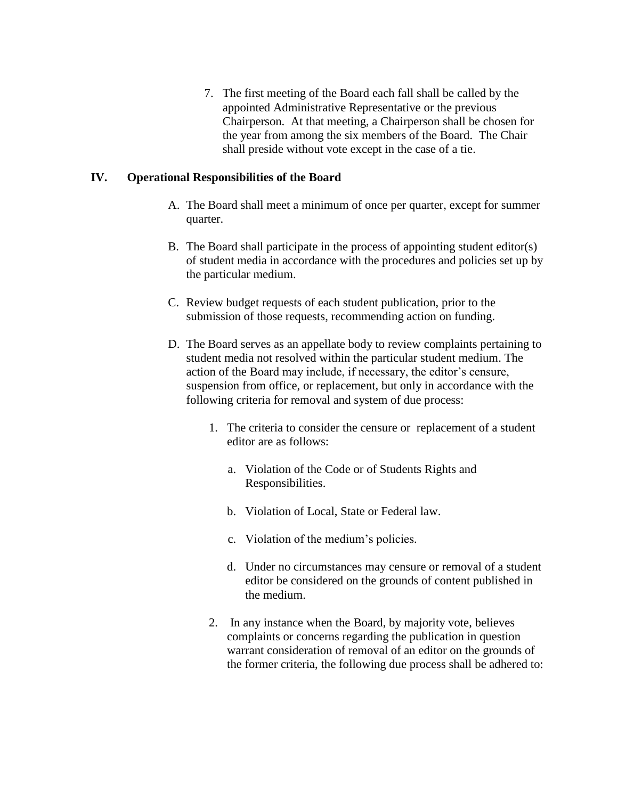7. The first meeting of the Board each fall shall be called by the appointed Administrative Representative or the previous Chairperson. At that meeting, a Chairperson shall be chosen for the year from among the six members of the Board. The Chair shall preside without vote except in the case of a tie.

## **IV. Operational Responsibilities of the Board**

- A. The Board shall meet a minimum of once per quarter, except for summer quarter.
- B. The Board shall participate in the process of appointing student editor(s) of student media in accordance with the procedures and policies set up by the particular medium.
- C. Review budget requests of each student publication, prior to the submission of those requests, recommending action on funding.
- D. The Board serves as an appellate body to review complaints pertaining to student media not resolved within the particular student medium. The action of the Board may include, if necessary, the editor's censure, suspension from office, or replacement, but only in accordance with the following criteria for removal and system of due process:
	- 1. The criteria to consider the censure or replacement of a student editor are as follows:
		- a. Violation of the Code or of Students Rights and Responsibilities.
		- b. Violation of Local, State or Federal law.
		- c. Violation of the medium's policies.
		- d. Under no circumstances may censure or removal of a student editor be considered on the grounds of content published in the medium.
	- 2. In any instance when the Board, by majority vote, believes complaints or concerns regarding the publication in question warrant consideration of removal of an editor on the grounds of the former criteria, the following due process shall be adhered to: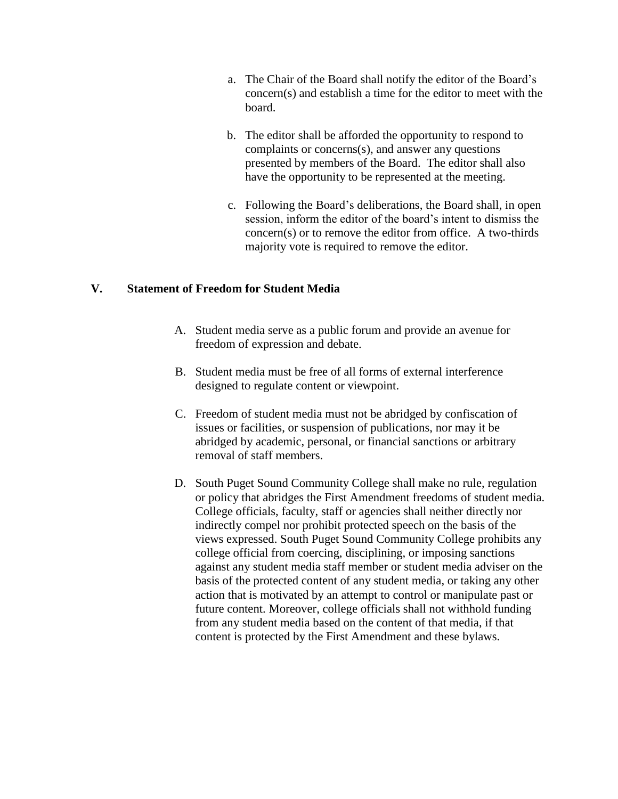- a. The Chair of the Board shall notify the editor of the Board's concern(s) and establish a time for the editor to meet with the board.
- b. The editor shall be afforded the opportunity to respond to complaints or concerns(s), and answer any questions presented by members of the Board. The editor shall also have the opportunity to be represented at the meeting.
- c. Following the Board's deliberations, the Board shall, in open session, inform the editor of the board's intent to dismiss the concern(s) or to remove the editor from office. A two-thirds majority vote is required to remove the editor.

## **V. Statement of Freedom for Student Media**

- A. Student media serve as a public forum and provide an avenue for freedom of expression and debate.
- B. Student media must be free of all forms of external interference designed to regulate content or viewpoint.
- C. Freedom of student media must not be abridged by confiscation of issues or facilities, or suspension of publications, nor may it be abridged by academic, personal, or financial sanctions or arbitrary removal of staff members.
- D. South Puget Sound Community College shall make no rule, regulation or policy that abridges the First Amendment freedoms of student media. College officials, faculty, staff or agencies shall neither directly nor indirectly compel nor prohibit protected speech on the basis of the views expressed. South Puget Sound Community College prohibits any college official from coercing, disciplining, or imposing sanctions against any student media staff member or student media adviser on the basis of the protected content of any student media, or taking any other action that is motivated by an attempt to control or manipulate past or future content. Moreover, college officials shall not withhold funding from any student media based on the content of that media, if that content is protected by the First Amendment and these bylaws.